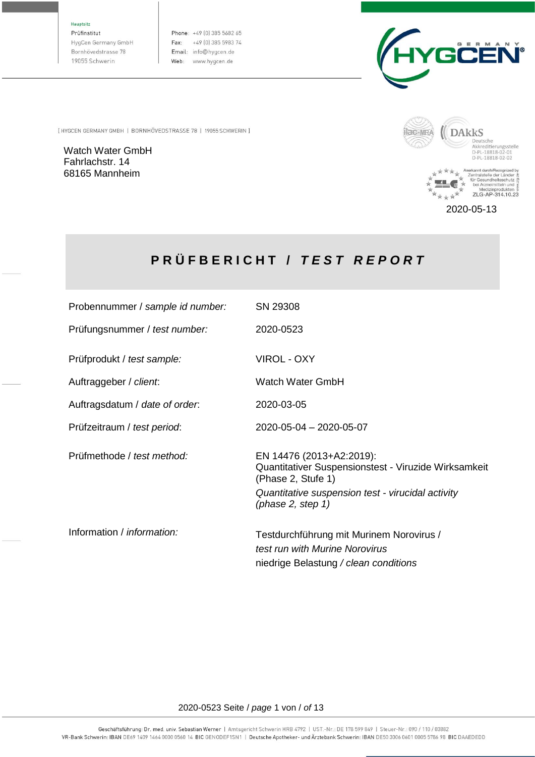Hauptsitz

Prüfinstitut HygCen Germany GmbH Bornhövedstrasse 78 19055 Schwerin

Phone: +49 (0) 385 5682 65 Fax: +49 (0) 385 5983 74 Email: info@hygcen.de Web: www.hygcen.de



[ HYGCEN GERMANY GMBH | BORNHÖVEDSTRASSE 78 | 19055 SCHWERIN ]

Watch Water GmbH Fahrlachstr. 14 68165 Mannheim



2020-05-13

# **P R Ü F B E R I C H T /** *T E S T R E P O R T*

| Probennummer / sample id number:  | SN 29308                                                                                                            |
|-----------------------------------|---------------------------------------------------------------------------------------------------------------------|
| Prüfungsnummer / test number:     | 2020-0523                                                                                                           |
| Prüfprodukt / test sample:        | VIROL - OXY                                                                                                         |
| Auftraggeber / client.            | Watch Water GmbH                                                                                                    |
| Auftragsdatum / date of order.    | 2020-03-05                                                                                                          |
| Prüfzeitraum / test period:       | 2020-05-04 - 2020-05-07                                                                                             |
| Prüfmethode / test method:        | EN 14476 (2013+A2:2019):<br>Quantitativer Suspensionstest - Viruzide Wirksamkeit<br>(Phase 2, Stufe 1)              |
|                                   | Quantitative suspension test - virucidal activity<br>(phase $2$ , step $1$ )                                        |
| Information / <i>information:</i> | Testdurchführung mit Murinem Norovirus /<br>test run with Murine Norovirus<br>niedrige Belastung / clean conditions |

#### 2020-0523 Seite / *page* 1 von / *of* 13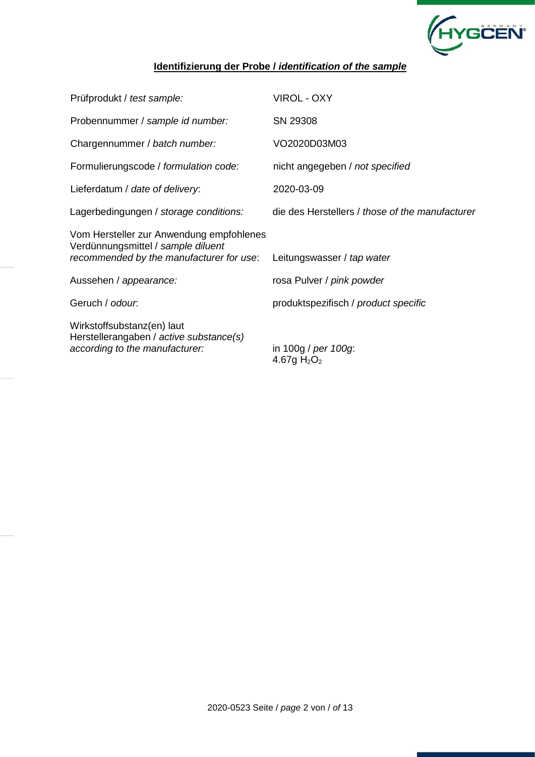

## **Identifizierung der Probe /** *identification of the sample*

| Prüfprodukt / test sample:                                                                                                 | <b>VIROL - OXY</b>                              |
|----------------------------------------------------------------------------------------------------------------------------|-------------------------------------------------|
| Probennummer / sample id number:                                                                                           | SN 29308                                        |
| Chargennummer / batch number:                                                                                              | VO2020D03M03                                    |
| Formulierungscode / formulation code:                                                                                      | nicht angegeben / not specified                 |
| Lieferdatum / date of delivery:                                                                                            | 2020-03-09                                      |
| Lagerbedingungen / storage conditions:                                                                                     | die des Herstellers / those of the manufacturer |
| Vom Hersteller zur Anwendung empfohlenes<br>Verdünnungsmittel / sample diluent<br>recommended by the manufacturer for use: | Leitungswasser / tap water                      |
| Aussehen / appearance:                                                                                                     | rosa Pulver / pink powder                       |
| Geruch / odour.                                                                                                            | produktspezifisch / product specific            |
| Wirkstoffsubstanz(en) laut<br>Herstellerangaben / active substance(s)<br>according to the manufacturer:                    | in 100g / per 100g:<br>4.67g $H_2O_2$           |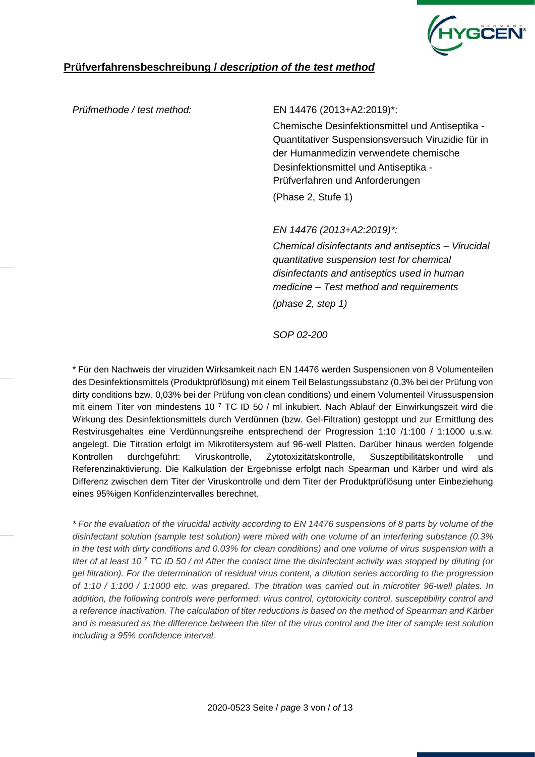

## **Prüfverfahrensbeschreibung /** *description of the test method*

#### *Prüfmethode / test method:* EN 14476 (2013+A2:2019)\*:

Chemische Desinfektionsmittel und Antiseptika - Quantitativer Suspensionsversuch Viruzidie für in der Humanmedizin verwendete chemische Desinfektionsmittel und Antiseptika - Prüfverfahren und Anforderungen (Phase 2, Stufe 1)

*EN 14476 (2013+A2:2019)\*:*

*Chemical disinfectants and antiseptics – Virucidal quantitative suspension test for chemical disinfectants and antiseptics used in human medicine – Test method and requirements (phase 2, step 1)*

*SOP 02-200*

\* Für den Nachweis der viruziden Wirksamkeit nach EN 14476 werden Suspensionen von 8 Volumenteilen des Desinfektionsmittels (Produktprüflösung) mit einem Teil Belastungssubstanz (0,3% bei der Prüfung von dirty conditions bzw. 0,03% bei der Prüfung von clean conditions) und einem Volumenteil Virussuspension mit einem Titer von mindestens 10 <sup>7</sup> TC ID 50 / ml inkubiert. Nach Ablauf der Einwirkungszeit wird die Wirkung des Desinfektionsmittels durch Verdünnen (bzw. Gel-Filtration) gestoppt und zur Ermittlung des Restvirusgehaltes eine Verdünnungsreihe entsprechend der Progression 1:10 /1:100 / 1:1000 u.s.w. angelegt. Die Titration erfolgt im Mikrotitersystem auf 96-well Platten. Darüber hinaus werden folgende Kontrollen durchgeführt: Viruskontrolle, Zytotoxizitätskontrolle, Suszeptibilitätskontrolle und Referenzinaktivierung. Die Kalkulation der Ergebnisse erfolgt nach Spearman und Kärber und wird als Differenz zwischen dem Titer der Viruskontrolle und dem Titer der Produktprüflösung unter Einbeziehung eines 95%igen Konfidenzintervalles berechnet.

*\* For the evaluation of the virucidal activity according to EN 14476 suspensions of 8 parts by volume of the disinfectant solution (sample test solution) were mixed with one volume of an interfering substance (0.3% in the test with dirty conditions and 0.03% for clean conditions) and one volume of virus suspension with a titer of at least 10 <sup>7</sup> TC ID 50 / ml After the contact time the disinfectant activity was stopped by diluting (or gel filtration). For the determination of residual virus content, a dilution series according to the progression of 1:10 / 1:100 / 1:1000 etc. was prepared. The titration was carried out in microtiter 96-well plates. In addition, the following controls were performed: virus control, cytotoxicity control, susceptibility control and a reference inactivation. The calculation of titer reductions is based on the method of Spearman and Kärber and is measured as the difference between the titer of the virus control and the titer of sample test solution including a 95% confidence interval.*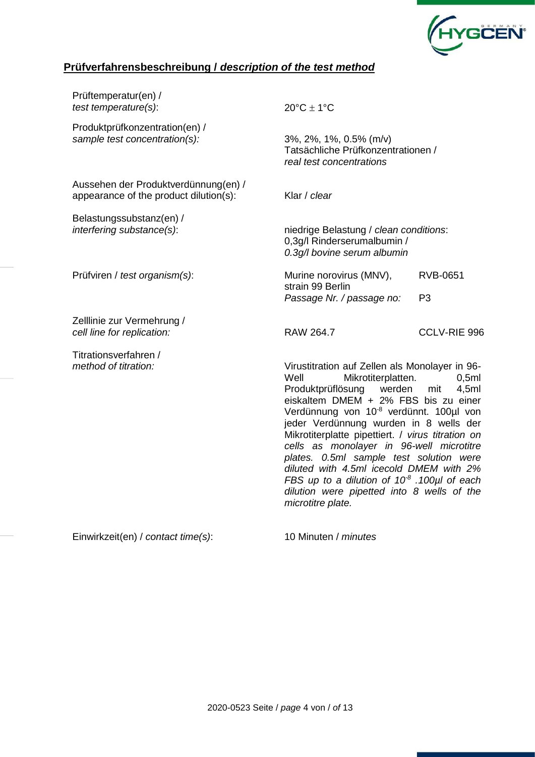

## **Prüfverfahrensbeschreibung /** *description of the test method*

| Prüftemperatur(en) /<br>test temperature(s):                                   | $20^{\circ}$ C ± 1°C                                                                                                                                                                                                                                                                                                                                                                                                                                                                                                                                             |                                   |  |  |  |  |  |  |
|--------------------------------------------------------------------------------|------------------------------------------------------------------------------------------------------------------------------------------------------------------------------------------------------------------------------------------------------------------------------------------------------------------------------------------------------------------------------------------------------------------------------------------------------------------------------------------------------------------------------------------------------------------|-----------------------------------|--|--|--|--|--|--|
| Produktprüfkonzentration(en) /<br>sample test concentration(s):                | 3%, 2%, 1%, 0.5% (m/v)<br>Tatsächliche Prüfkonzentrationen /<br>real test concentrations                                                                                                                                                                                                                                                                                                                                                                                                                                                                         |                                   |  |  |  |  |  |  |
| Aussehen der Produktverdünnung(en) /<br>appearance of the product dilution(s): | Klar / clear                                                                                                                                                                                                                                                                                                                                                                                                                                                                                                                                                     |                                   |  |  |  |  |  |  |
| Belastungssubstanz(en) /<br>interfering substance(s):                          | niedrige Belastung / clean conditions:<br>0,3g/l Rinderserumalbumin /<br>0.3g/l bovine serum albumin                                                                                                                                                                                                                                                                                                                                                                                                                                                             |                                   |  |  |  |  |  |  |
| Prüfviren / test organism(s):                                                  | Murine norovirus (MNV),<br>strain 99 Berlin<br>Passage Nr. / passage no:                                                                                                                                                                                                                                                                                                                                                                                                                                                                                         | <b>RVB-0651</b><br>P <sub>3</sub> |  |  |  |  |  |  |
| Zelllinie zur Vermehrung /<br>cell line for replication:                       | <b>RAW 264.7</b>                                                                                                                                                                                                                                                                                                                                                                                                                                                                                                                                                 | CCLV-RIE 996                      |  |  |  |  |  |  |
| Titrationsverfahren /<br>method of titration:                                  | Virustitration auf Zellen als Monolayer in 96-<br>Well<br>Mikrotiterplatten.<br>Produktprüflösung<br>werden<br>eiskaltem DMEM + 2% FBS bis zu einer<br>Verdünnung von 10 <sup>-8</sup> verdünnt. 100µl von<br>jeder Verdünnung wurden in 8 wells der<br>Mikrotiterplatte pipettiert. / virus titration on<br>cells as monolayer in 96-well microtitre<br>plates. 0.5ml sample test solution were<br>diluted with 4.5ml icecold DMEM with 2%<br>FBS up to a dilution of $10^8$ . 100µl of each<br>dilution were pipetted into 8 wells of the<br>microtitre plate. | 0,5ml<br>mit<br>4,5ml             |  |  |  |  |  |  |

Einwirkzeit(en) / *contact time(s)*: 10 Minuten / *minutes*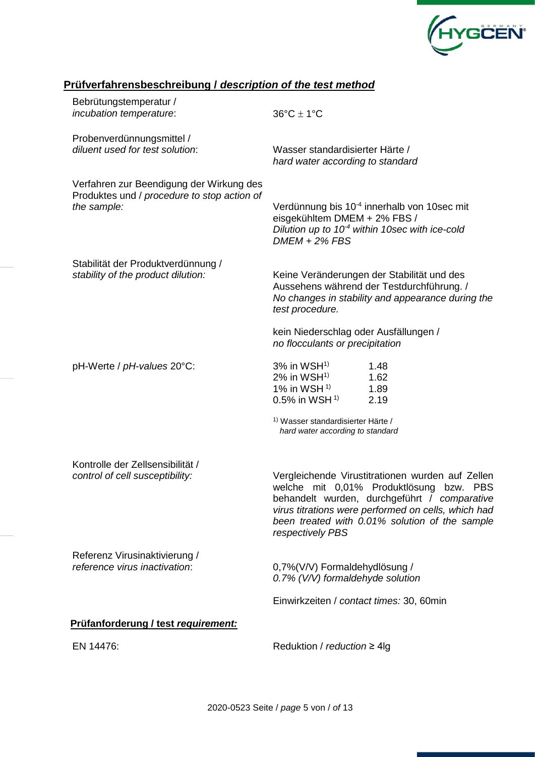

## **Prüfverfahrensbeschreibung /** *description of the test method*

| Bebrütungstemperatur /<br>incubation temperature:                                                      | $36^{\circ}$ C $\pm$ 1°C                                                                                                |                                                                                                                                                                                                                       |
|--------------------------------------------------------------------------------------------------------|-------------------------------------------------------------------------------------------------------------------------|-----------------------------------------------------------------------------------------------------------------------------------------------------------------------------------------------------------------------|
| Probenverdünnungsmittel /<br>diluent used for test solution:                                           | Wasser standardisierter Härte /<br>hard water according to standard                                                     |                                                                                                                                                                                                                       |
| Verfahren zur Beendigung der Wirkung des<br>Produktes und / procedure to stop action of<br>the sample: | eisgekühltem DMEM + 2% FBS /<br>$DMEM + 2\% FBS$                                                                        | Verdünnung bis 10 <sup>-4</sup> innerhalb von 10sec mit<br>Dilution up to $10-4$ within 10sec with ice-cold                                                                                                           |
| Stabilität der Produktverdünnung /<br>stability of the product dilution:                               | test procedure.                                                                                                         | Keine Veränderungen der Stabilität und des<br>Aussehens während der Testdurchführung. /<br>No changes in stability and appearance during the                                                                          |
|                                                                                                        | kein Niederschlag oder Ausfällungen /<br>no flocculants or precipitation                                                |                                                                                                                                                                                                                       |
| pH-Werte / pH-values 20°C:                                                                             | $3\%$ in WSH <sup>1)</sup><br>$2\%$ in WSH <sup>1)</sup><br>1% in WSH $1$ <sup>1)</sup><br>$0.5\%$ in WSH <sup>1)</sup> | 1.48<br>1.62<br>1.89<br>2.19                                                                                                                                                                                          |
|                                                                                                        | <sup>1)</sup> Wasser standardisierter Härte /<br>hard water according to standard                                       |                                                                                                                                                                                                                       |
| Kontrolle der Zellsensibilität /<br>control of cell susceptibility:                                    | welche mit 0,01% Produktlösung<br>respectively PBS                                                                      | Vergleichende Virustitrationen wurden auf Zellen<br>bzw. PBS<br>behandelt wurden, durchgeführt / comparative<br>virus titrations were performed on cells, which had<br>been treated with 0.01% solution of the sample |
| Referenz Virusinaktivierung /<br>reference virus inactivation:                                         | 0,7%(V/V) Formaldehydlösung /<br>0.7% (V/V) formaldehyde solution                                                       |                                                                                                                                                                                                                       |
|                                                                                                        | Einwirkzeiten / contact times: 30, 60min                                                                                |                                                                                                                                                                                                                       |
| Prüfanforderung / test requirement:                                                                    |                                                                                                                         |                                                                                                                                                                                                                       |
| EN 14476:                                                                                              | Reduktion / reduction $\geq 4$ lg                                                                                       |                                                                                                                                                                                                                       |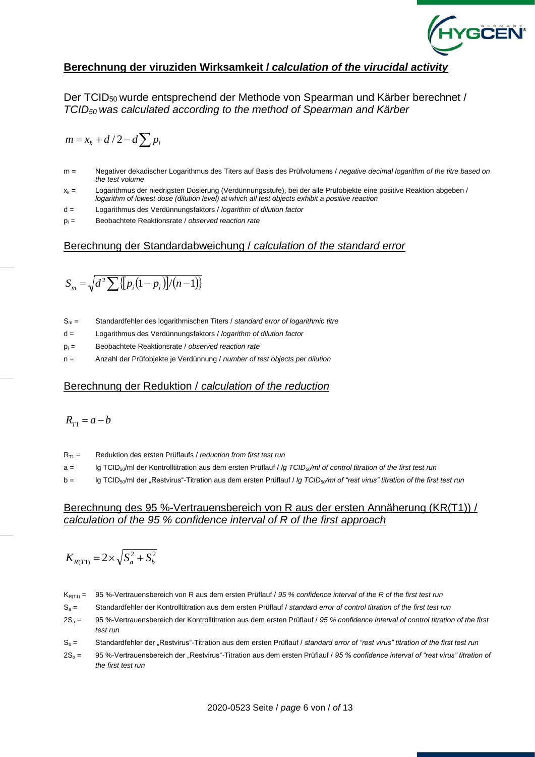

### **Berechnung der viruziden Wirksamkeit /** *calculation of the virucidal activity*

Der TCID50 wurde entsprechend der Methode von Spearman und Kärber berechnet / *TCID50 was calculated according to the method of Spearman and Kärber*

$$
m = x_k + d/2 - d \sum p_i
$$

- m = Negativer dekadischer Logarithmus des Titers auf Basis des Prüfvolumens / *negative decimal logarithm of the titre based on the test volume*
- $x_k$  = Logarithmus der niedrigsten Dosierung (Verdünnungsstufe), bei der alle Prüfobjekte eine positive Reaktion abgeben / *logarithm of lowest dose (dilution level) at which all test objects exhibit a positive reaction*
- d = Logarithmus des Verdünnungsfaktors / *logarithm of dilution factor*
- p<sup>i</sup> = Beobachtete Reaktionsrate / *observed reaction rate*

#### Berechnung der Standardabweichung / *calculation of the standard error*

$$
S_m = \sqrt{d^2 \sum \{p_i(1-p_i)\}/(n-1)\}}
$$

- S<sup>m</sup> = Standardfehler des logarithmischen Titers / *standard error of logarithmic titre*
- d = Logarithmus des Verdünnungsfaktors / *logarithm of dilution factor*
- p<sup>i</sup> = Beobachtete Reaktionsrate / *observed reaction rate*
- n = Anzahl der Prüfobjekte je Verdünnung / *number of test objects per dilution*

#### Berechnung der Reduktion / *calculation of the reduction*

$$
R_{T1}=a-b
$$

- RT1 = Reduktion des ersten Prüflaufs / *reduction from first test run*
- a = lg TCID50/ml der Kontrolltitration aus dem ersten Prüflauf / *lg TCID50/ml of control titration of the first test run*
- b = lg TCID50/ml der "Restvirus"-Titration aus dem ersten Prüflauf / *lg TCID50/ml of "rest virus" titration of the first test run*

#### Berechnung des 95 %-Vertrauensbereich von R aus der ersten Annäherung (KR(T1)) / *calculation of the 95 % confidence interval of R of the first approach*

$$
K_{R(T1)} = 2 \times \sqrt{S_a^2 + S_b^2}
$$

- KR(T1) = 95 %-Vertrauensbereich von R aus dem ersten Prüflauf / *95 % confidence interval of the R of the first test run*
- S<sup>a</sup> = Standardfehler der Kontrolltitration aus dem ersten Prüflauf / *standard error of control titration of the first test run*
- 2S<sup>a</sup> = 95 %-Vertrauensbereich der Kontrolltitration aus dem ersten Prüflauf / *95 % confidence interval of control titration of the first test run*
- S<sup>b</sup> = Standardfehler der "Restvirus"-Titration aus dem ersten Prüflauf / *standard error of "rest virus" titration of the first test run*
- 2S<sup>b</sup> = 95 %-Vertrauensbereich der "Restvirus"-Titration aus dem ersten Prüflauf / *95 % confidence interval of "rest virus" titration of the first test run*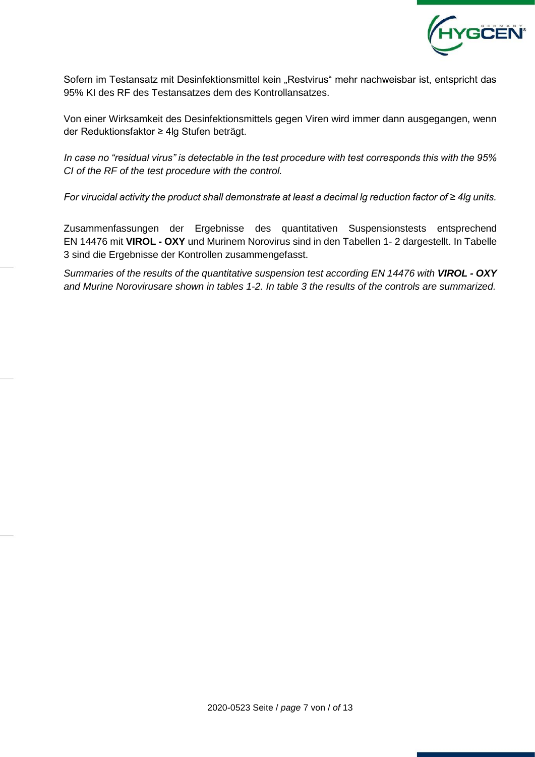

Sofern im Testansatz mit Desinfektionsmittel kein "Restvirus" mehr nachweisbar ist, entspricht das 95% KI des RF des Testansatzes dem des Kontrollansatzes.

Von einer Wirksamkeit des Desinfektionsmittels gegen Viren wird immer dann ausgegangen, wenn der Reduktionsfaktor ≥ 4lg Stufen beträgt.

*In case no "residual virus" is detectable in the test procedure with test corresponds this with the 95% CI of the RF of the test procedure with the control.*

*For virucidal activity the product shall demonstrate at least a decimal lg reduction factor of ≥ 4lg units.*

Zusammenfassungen der Ergebnisse des quantitativen Suspensionstests entsprechend EN 14476 mit **VIROL - OXY** und Murinem Norovirus sind in den Tabellen 1- 2 dargestellt. In Tabelle 3 sind die Ergebnisse der Kontrollen zusammengefasst.

*Summaries of the results of the quantitative suspension test according EN 14476 with VIROL - OXY and Murine Norovirusare shown in tables 1-2. In table 3 the results of the controls are summarized.*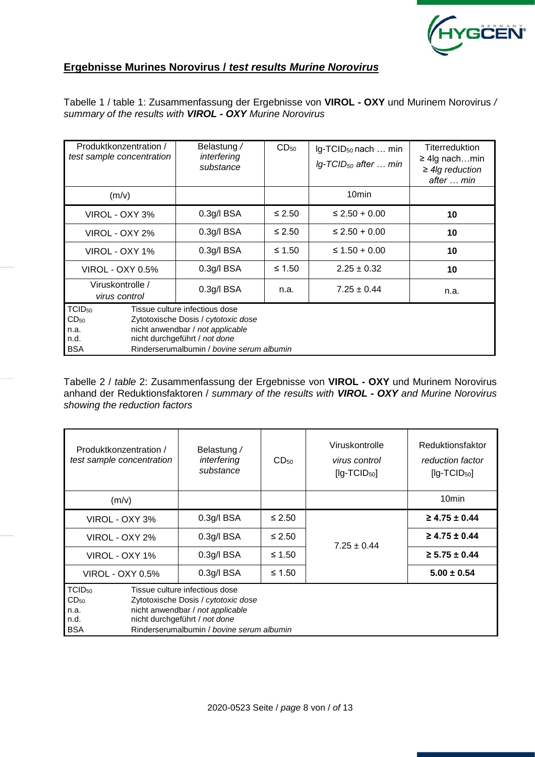

## **Ergebnisse Murines Norovirus /** *test results Murine Norovirus*

Tabelle 1 / table 1: Zusammenfassung der Ergebnisse von **VIROL - OXY** und Murinem Norovirus */ summary of the results with VIROL - OXY Murine Norovirus*

| Produktkonzentration /<br>test sample concentration                  |  | Belastung /<br>interfering<br>substance                                                                                                                                                 | $CD_{50}$   | Ig-TCID <sub>50</sub> nach  min<br>$Ig$ -TCID <sub>50</sub> after  min | <b>Titerreduktion</b><br>$\geq$ 4lg nachmin<br>$\geq$ 4lg reduction<br>after  min |
|----------------------------------------------------------------------|--|-----------------------------------------------------------------------------------------------------------------------------------------------------------------------------------------|-------------|------------------------------------------------------------------------|-----------------------------------------------------------------------------------|
| (m/v)                                                                |  |                                                                                                                                                                                         |             | 10 <sub>min</sub>                                                      |                                                                                   |
| VIROL - OXY 3%                                                       |  | $0.3g$ /l BSA                                                                                                                                                                           | $\leq 2.50$ | $\leq$ 2.50 + 0.00                                                     | 10                                                                                |
| VIROL - OXY 2%                                                       |  | $0.3g$ /l BSA                                                                                                                                                                           | $\leq 2.50$ | $\leq$ 2.50 + 0.00                                                     | 10                                                                                |
| VIROL - OXY 1%                                                       |  | $0.3g$ /l BSA                                                                                                                                                                           | ≤ 1.50      | $\leq 1.50 + 0.00$                                                     | 10                                                                                |
| VIROL - OXY 0.5%                                                     |  | 0.3g/IBSA                                                                                                                                                                               | $\leq 1.50$ | $2.25 \pm 0.32$                                                        | 10                                                                                |
| Viruskontrolle /<br>virus control                                    |  | 0.3g/IBSA                                                                                                                                                                               |             | $7.25 \pm 0.44$                                                        | n.a.                                                                              |
| TCID <sub>50</sub><br>CD <sub>50</sub><br>n.a.<br>n.d.<br><b>BSA</b> |  | Tissue culture infectious dose<br>Zytotoxische Dosis / cytotoxic dose<br>nicht anwendbar / not applicable<br>nicht durchgeführt / not done<br>Rinderserumalbumin / bovine serum albumin |             |                                                                        |                                                                                   |

Tabelle 2 / *table* 2: Zusammenfassung der Ergebnisse von **VIROL - OXY** und Murinem Norovirus anhand der Reduktionsfaktoren / *summary of the results with VIROL - OXY and Murine Norovirus showing the reduction factors* 

| Produktkonzentration /<br>test sample concentration           | Belastung /<br>interfering<br>substance                                                                                                                                                 | CD <sub>50</sub> | Viruskontrolle<br>virus control<br>$[lg-TCID50]$ | Reduktionsfaktor<br>reduction factor<br>$[lg-TCID50]$ |
|---------------------------------------------------------------|-----------------------------------------------------------------------------------------------------------------------------------------------------------------------------------------|------------------|--------------------------------------------------|-------------------------------------------------------|
| (m/v)                                                         |                                                                                                                                                                                         |                  |                                                  | 10 <sub>min</sub>                                     |
| VIROL - OXY 3%                                                | $0.3$ g/l BSA                                                                                                                                                                           | ≤ 2.50           |                                                  | $\geq$ 4.75 $\pm$ 0.44                                |
| VIROL - OXY 2%                                                | $0.3$ g/l BSA                                                                                                                                                                           | $\leq 2.50$      | $7.25 \pm 0.44$                                  | $\geq$ 4.75 ± 0.44                                    |
| VIROL - OXY 1%                                                | 0.3q/IBSA                                                                                                                                                                               |                  |                                                  | $\geq 5.75 \pm 0.44$                                  |
| VIROL - OXY 0.5%                                              | $0.3$ g/l BSA                                                                                                                                                                           | $\leq 1.50$      |                                                  | $5.00 \pm 0.54$                                       |
| $TCID_{50}$<br>CD <sub>50</sub><br>n.a.<br>n.d.<br><b>BSA</b> | Tissue culture infectious dose<br>Zytotoxische Dosis / cytotoxic dose<br>nicht anwendbar / not applicable<br>nicht durchgeführt / not done<br>Rinderserumalbumin / bovine serum albumin |                  |                                                  |                                                       |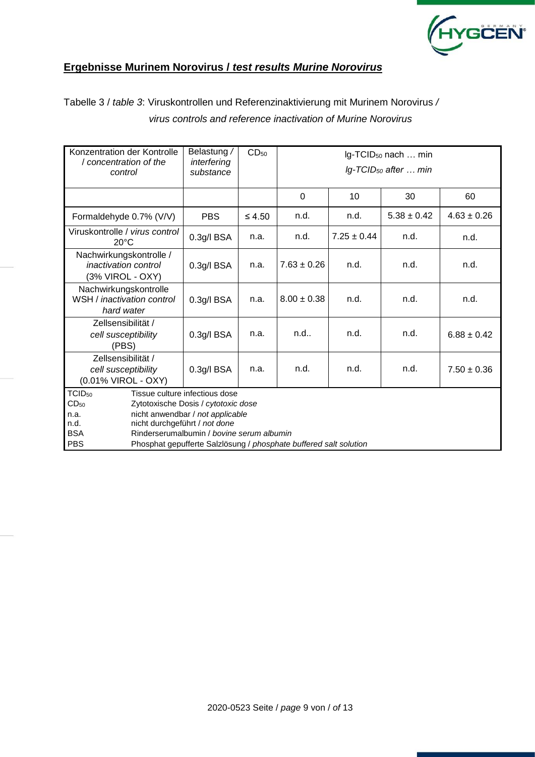

## **Ergebnisse Murinem Norovirus /** *test results Murine Norovirus*

Tabelle 3 / *table 3*: Viruskontrollen und Referenzinaktivierung mit Murinem Norovirus */ virus controls and reference inactivation of Murine Norovirus*

| Konzentration der Kontrolle<br>/ concentration of the<br>control                   | Belastung /<br>interfering<br>substance                                                                                                                                                                                                                      | CD <sub>50</sub> | Ig-TCID <sub>50</sub> nach  min<br>$lg$ -TCID <sub>50</sub> after  min |                 |                 |                 |  |  |  |  |  |  |
|------------------------------------------------------------------------------------|--------------------------------------------------------------------------------------------------------------------------------------------------------------------------------------------------------------------------------------------------------------|------------------|------------------------------------------------------------------------|-----------------|-----------------|-----------------|--|--|--|--|--|--|
|                                                                                    |                                                                                                                                                                                                                                                              |                  | $\Omega$                                                               | 10              | 30              | 60              |  |  |  |  |  |  |
| Formaldehyde 0.7% (V/V)                                                            | <b>PBS</b>                                                                                                                                                                                                                                                   | $\leq 4.50$      | n.d.                                                                   | n.d.            | $5.38 \pm 0.42$ | $4.63 \pm 0.26$ |  |  |  |  |  |  |
| Viruskontrolle / virus control<br>$20^{\circ}$ C                                   | $0.3g$ /l BSA                                                                                                                                                                                                                                                | n.a.             | n.d.                                                                   | $7.25 \pm 0.44$ | n.d.            | n.d.            |  |  |  |  |  |  |
| Nachwirkungskontrolle /<br><i>inactivation control</i><br>(3% VIROL - OXY)         | 0.3g/l BSA                                                                                                                                                                                                                                                   | n.a.             | $7.63 \pm 0.26$                                                        | n.d.            | n.d.            | n.d.            |  |  |  |  |  |  |
| Nachwirkungskontrolle<br>WSH / inactivation control<br>hard water                  | 0.3g/l BSA                                                                                                                                                                                                                                                   | n.a.             | $8.00 \pm 0.38$                                                        | n.d.            | n.d.            | n.d.            |  |  |  |  |  |  |
| Zellsensibilität /<br>cell susceptibility<br>(PBS)                                 | 0.3g/l BSA                                                                                                                                                                                                                                                   | n.a.             | n.d                                                                    | n.d.            |                 | $6.88 \pm 0.42$ |  |  |  |  |  |  |
| Zellsensibilität /<br>cell susceptibility<br>(0.01% VIROL - OXY)                   | n.d.<br>0.3g/l BSA<br>n.a.                                                                                                                                                                                                                                   |                  | n.d.                                                                   | n.d.            | $7.50 \pm 0.36$ |                 |  |  |  |  |  |  |
| TCID <sub>50</sub><br>CD <sub>50</sub><br>n.a.<br>n.d.<br><b>BSA</b><br><b>PBS</b> | Tissue culture infectious dose<br>Zytotoxische Dosis / cytotoxic dose<br>nicht anwendbar / not applicable<br>nicht durchgeführt / not done<br>Rinderserumalbumin / bovine serum albumin<br>Phosphat gepufferte Salzlösung / phosphate buffered salt solution |                  |                                                                        |                 |                 |                 |  |  |  |  |  |  |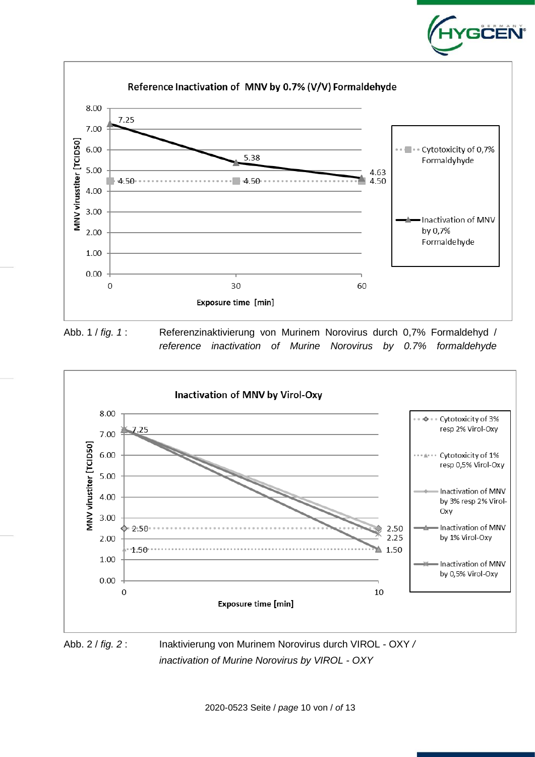

GĊËÑ

Abb. 1 / *fig. 1* : Referenzinaktivierung von Murinem Norovirus durch 0,7% Formaldehyd / *reference inactivation of Murine Norovirus by 0.7% formaldehyde*



*inactivation of Murine Norovirus by VIROL - OXY*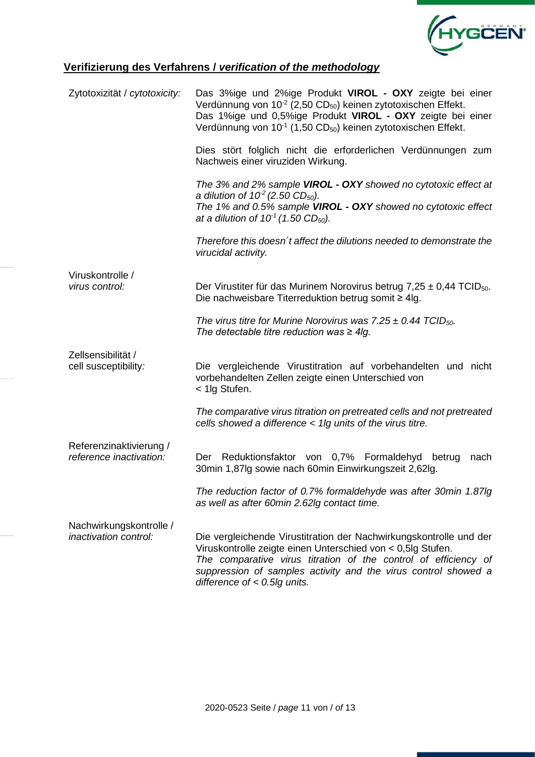

## **Verifizierung des Verfahrens /** *verification of the methodology*

| Zytotoxizität / cytotoxicity:                           | Das 3%ige und 2%ige Produkt VIROL - OXY zeigte bei einer<br>Verdünnung von 10 <sup>-2</sup> (2,50 CD <sub>50</sub> ) keinen zytotoxischen Effekt.<br>Das 1%ige und 0,5%ige Produkt VIROL - OXY zeigte bei einer<br>Verdünnung von 10 <sup>-1</sup> (1,50 CD <sub>50</sub> ) keinen zytotoxischen Effekt.  |
|---------------------------------------------------------|-----------------------------------------------------------------------------------------------------------------------------------------------------------------------------------------------------------------------------------------------------------------------------------------------------------|
|                                                         | Dies stört folglich nicht die erforderlichen Verdünnungen zum<br>Nachweis einer viruziden Wirkung.                                                                                                                                                                                                        |
|                                                         | The 3% and 2% sample VIROL - OXY showed no cytotoxic effect at<br>a dilution of $10^2$ (2.50 CD <sub>50</sub> ).<br>The 1% and 0.5% sample VIROL - OXY showed no cytotoxic effect<br>at a dilution of $10^1$ (1.50 CD <sub>50</sub> ).                                                                    |
|                                                         | Therefore this doesn't affect the dilutions needed to demonstrate the<br>virucidal activity.                                                                                                                                                                                                              |
| Viruskontrolle /<br>virus control:                      | Der Virustiter für das Murinem Norovirus betrug $7,25 \pm 0,44$ TCID <sub>50</sub> .<br>Die nachweisbare Titerreduktion betrug somit $\geq 4$ lg.                                                                                                                                                         |
|                                                         | The virus titre for Murine Norovirus was $7.25 \pm 0.44$ TCID <sub>50</sub> .<br>The detectable titre reduction was $\geq 4$ lg.                                                                                                                                                                          |
| Zellsensibilität /<br>cell susceptibility:              | Die vergleichende Virustitration auf vorbehandelten und nicht<br>vorbehandelten Zellen zeigte einen Unterschied von<br>< 1lg Stufen.                                                                                                                                                                      |
|                                                         | The comparative virus titration on pretreated cells and not pretreated<br>cells showed a difference < 1lg units of the virus titre.                                                                                                                                                                       |
| Referenzinaktivierung /<br>reference inactivation:      | Der Reduktionsfaktor von 0,7% Formaldehyd betrug<br>nach<br>30min 1,87lg sowie nach 60min Einwirkungszeit 2,62lg.                                                                                                                                                                                         |
|                                                         | The reduction factor of 0.7% formaldehyde was after 30min 1.87lg<br>as well as after 60min 2.62lg contact time.                                                                                                                                                                                           |
| Nachwirkungskontrolle /<br><i>inactivation control:</i> | Die vergleichende Virustitration der Nachwirkungskontrolle und der<br>Viruskontrolle zeigte einen Unterschied von < 0,5lg Stufen.<br>The comparative virus titration of the control of efficiency of<br>suppression of samples activity and the virus control showed a<br>difference of $< 0.5$ lg units. |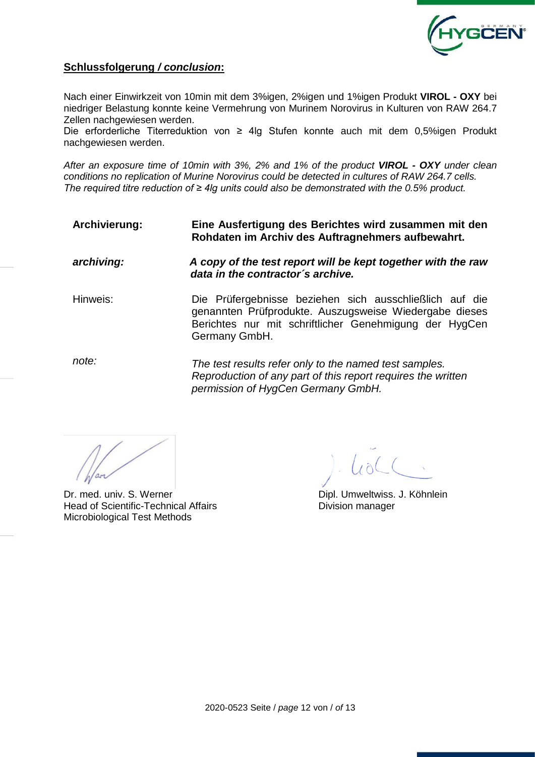

### **Schlussfolgerung** */ conclusion***:**

Nach einer Einwirkzeit von 10min mit dem 3%igen, 2%igen und 1%igen Produkt **VIROL - OXY** bei niedriger Belastung konnte keine Vermehrung von Murinem Norovirus in Kulturen von RAW 264.7 Zellen nachgewiesen werden.

Die erforderliche Titerreduktion von ≥ 4lg Stufen konnte auch mit dem 0,5%igen Produkt nachgewiesen werden.

*After an exposure time of 10min with 3%, 2% and 1% of the product VIROL - OXY under clean conditions no replication of Murine Norovirus could be detected in cultures of RAW 264.7 cells. The required titre reduction of ≥ 4lg units could also be demonstrated with the 0.5% product.*

**Archivierung: Eine Ausfertigung des Berichtes wird zusammen mit den Rohdaten im Archiv des Auftragnehmers aufbewahrt.**

*archiving: A copy of the test report will be kept together with the raw data in the contractor´s archive.*

Hinweis: Die Prüfergebnisse beziehen sich ausschließlich auf die genannten Prüfprodukte. Auszugsweise Wiedergabe dieses Berichtes nur mit schriftlicher Genehmigung der HygCen Germany GmbH.

*note: The test results refer only to the named test samples. Reproduction of any part of this report requires the written permission of HygCen Germany GmbH.*

Dr. med. univ. S. Werner **Dipl. Umweltwiss. J. Köhnlein** Head of Scientific-Technical Affairs **Exercise Scientific-Technical Affairs** Division manager Microbiological Test Methods